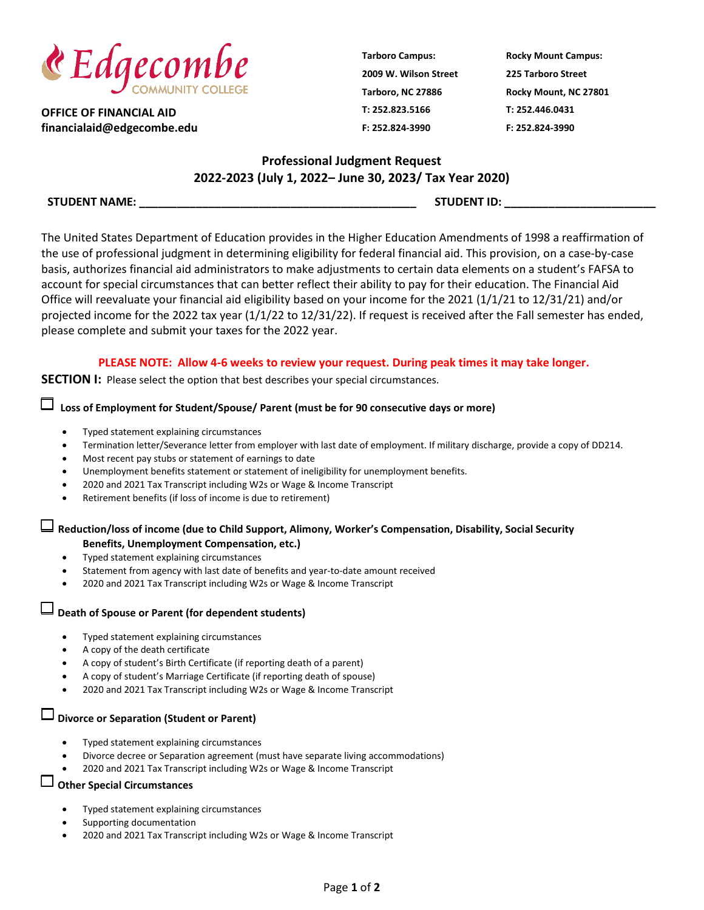

**OFFICE OF FINANCIAL AID financialaid@edgecombe.edu** **Tarboro Campus: 2009 W. Wilson Street Tarboro, NC 27886 T: 252.823.5166 F: 252.824-3990**

**Rocky Mount Campus: 225 Tarboro Street Rocky Mount, NC 27801 T: 252.446.0431 F: 252.824-3990**

# **Professional Judgment Request 2022-2023 (July 1, 2022– June 30, 2023/ Tax Year 2020)**

**STUDENT NAME: \_\_\_\_\_\_\_\_\_\_\_\_\_\_\_\_\_\_\_\_\_\_\_\_\_\_\_\_\_\_\_\_\_\_\_\_\_\_\_\_\_\_\_\_ STUDENT ID: \_\_\_\_\_\_\_\_\_\_\_\_\_\_\_\_\_\_\_\_\_\_\_\_**

The United States Department of Education provides in the Higher Education Amendments of 1998 a reaffirmation of the use of professional judgment in determining eligibility for federal financial aid. This provision, on a case-by-case basis, authorizes financial aid administrators to make adjustments to certain data elements on a student's FAFSA to account for special circumstances that can better reflect their ability to pay for their education. The Financial Aid Office will reevaluate your financial aid eligibility based on your income for the 2021 (1/1/21 to 12/31/21) and/or projected income for the 2022 tax year (1/1/22 to 12/31/22). If request is received after the Fall semester has ended, please complete and submit your taxes for the 2022 year.

#### **PLEASE NOTE: Allow 4-6 weeks to review your request. During peak times it may take longer.**

**SECTION I:** Please select the option that best describes your special circumstances.

# **Loss of Employment for Student/Spouse/ Parent (must be for 90 consecutive days or more)**

- Typed statement explaining circumstances
- Termination letter/Severance letter from employer with last date of employment. If military discharge, provide a copy of DD214.
- Most recent pay stubs or statement of earnings to date
- Unemployment benefits statement or statement of ineligibility for unemployment benefits.
- 2020 and 2021 Tax Transcript including W2s or Wage & Income Transcript
- Retirement benefits (if loss of income is due to retirement)

# **Reduction/loss of income (due to Child Support, Alimony, Worker's Compensation, Disability, Social Security Benefits, Unemployment Compensation, etc.)**

- Typed statement explaining circumstances
- Statement from agency with last date of benefits and year-to-date amount received
- 2020 and 2021 Tax Transcript including W2s or Wage & Income Transcript

# **Death of Spouse or Parent (for dependent students)**

- Typed statement explaining circumstances
- A copy of the death certificate
- A copy of student's Birth Certificate (if reporting death of a parent)
- A copy of student's Marriage Certificate (if reporting death of spouse)
- 2020 and 2021 Tax Transcript including W2s or Wage & Income Transcript

# **Divorce or Separation (Student or Parent)**

- Typed statement explaining circumstances
- Divorce decree or Separation agreement (must have separate living accommodations)
- 2020 and 2021 Tax Transcript including W2s or Wage & Income Transcript

### **Other Special Circumstances**

- Typed statement explaining circumstances
- Supporting documentation
- 2020 and 2021 Tax Transcript including W2s or Wage & Income Transcript